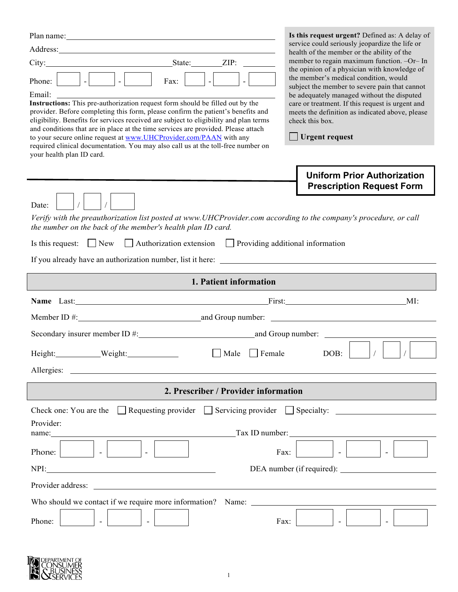| Address: <u>Address</u> and the contract of the contract of the contract of the contract of the contract of the contract of the contract of the contract of the contract of the contract of the contract of the contract of the con<br>$\vert - \vert$<br>Phone:<br>Fax:<br>Email:<br>Instructions: This pre-authorization request form should be filled out by the<br>provider. Before completing this form, please confirm the patient's benefits and<br>eligibility. Benefits for services received are subject to eligibility and plan terms<br>and conditions that are in place at the time services are provided. Please attach<br>to your secure online request at www.UHCProvider.com/PAAN with any<br>required clinical documentation. You may also call us at the toll-free number on<br>your health plan ID card. | Is this request urgent? Defined as: A delay of<br>service could seriously jeopardize the life or<br>health of the member or the ability of the<br>member to regain maximum function. -Or- In<br>the opinion of a physician with knowledge of<br>the member's medical condition, would<br>subject the member to severe pain that cannot<br>be adequately managed without the disputed<br>care or treatment. If this request is urgent and<br>meets the definition as indicated above, please<br>check this box.<br>$\Box$ Urgent request |
|------------------------------------------------------------------------------------------------------------------------------------------------------------------------------------------------------------------------------------------------------------------------------------------------------------------------------------------------------------------------------------------------------------------------------------------------------------------------------------------------------------------------------------------------------------------------------------------------------------------------------------------------------------------------------------------------------------------------------------------------------------------------------------------------------------------------------|-----------------------------------------------------------------------------------------------------------------------------------------------------------------------------------------------------------------------------------------------------------------------------------------------------------------------------------------------------------------------------------------------------------------------------------------------------------------------------------------------------------------------------------------|
| Date:                                                                                                                                                                                                                                                                                                                                                                                                                                                                                                                                                                                                                                                                                                                                                                                                                        | <b>Uniform Prior Authorization</b><br><b>Prescription Request Form</b>                                                                                                                                                                                                                                                                                                                                                                                                                                                                  |
| Verify with the preauthorization list posted at www.UHCProvider.com according to the company's procedure, or call<br>the number on the back of the member's health plan ID card.                                                                                                                                                                                                                                                                                                                                                                                                                                                                                                                                                                                                                                             |                                                                                                                                                                                                                                                                                                                                                                                                                                                                                                                                         |
| $\Box$ New<br>$\Box$ Authorization extension $\Box$ Providing additional information<br>Is this request:                                                                                                                                                                                                                                                                                                                                                                                                                                                                                                                                                                                                                                                                                                                     |                                                                                                                                                                                                                                                                                                                                                                                                                                                                                                                                         |
|                                                                                                                                                                                                                                                                                                                                                                                                                                                                                                                                                                                                                                                                                                                                                                                                                              |                                                                                                                                                                                                                                                                                                                                                                                                                                                                                                                                         |
| 1. Patient information                                                                                                                                                                                                                                                                                                                                                                                                                                                                                                                                                                                                                                                                                                                                                                                                       |                                                                                                                                                                                                                                                                                                                                                                                                                                                                                                                                         |
| Name Last: First:                                                                                                                                                                                                                                                                                                                                                                                                                                                                                                                                                                                                                                                                                                                                                                                                            | MI:                                                                                                                                                                                                                                                                                                                                                                                                                                                                                                                                     |
|                                                                                                                                                                                                                                                                                                                                                                                                                                                                                                                                                                                                                                                                                                                                                                                                                              |                                                                                                                                                                                                                                                                                                                                                                                                                                                                                                                                         |
|                                                                                                                                                                                                                                                                                                                                                                                                                                                                                                                                                                                                                                                                                                                                                                                                                              |                                                                                                                                                                                                                                                                                                                                                                                                                                                                                                                                         |
| Height: Weight:<br>$ $ Female<br>Male                                                                                                                                                                                                                                                                                                                                                                                                                                                                                                                                                                                                                                                                                                                                                                                        | DOB:                                                                                                                                                                                                                                                                                                                                                                                                                                                                                                                                    |
|                                                                                                                                                                                                                                                                                                                                                                                                                                                                                                                                                                                                                                                                                                                                                                                                                              |                                                                                                                                                                                                                                                                                                                                                                                                                                                                                                                                         |
| 2. Prescriber / Provider information                                                                                                                                                                                                                                                                                                                                                                                                                                                                                                                                                                                                                                                                                                                                                                                         |                                                                                                                                                                                                                                                                                                                                                                                                                                                                                                                                         |
| Check one: You are the Requesting provider Servicing provider Specialty: $\Box$                                                                                                                                                                                                                                                                                                                                                                                                                                                                                                                                                                                                                                                                                                                                              |                                                                                                                                                                                                                                                                                                                                                                                                                                                                                                                                         |
| Provider:<br>Tax ID number:<br>name:                                                                                                                                                                                                                                                                                                                                                                                                                                                                                                                                                                                                                                                                                                                                                                                         |                                                                                                                                                                                                                                                                                                                                                                                                                                                                                                                                         |
| Phone:<br>Fax:                                                                                                                                                                                                                                                                                                                                                                                                                                                                                                                                                                                                                                                                                                                                                                                                               |                                                                                                                                                                                                                                                                                                                                                                                                                                                                                                                                         |
|                                                                                                                                                                                                                                                                                                                                                                                                                                                                                                                                                                                                                                                                                                                                                                                                                              |                                                                                                                                                                                                                                                                                                                                                                                                                                                                                                                                         |
| Provider address:                                                                                                                                                                                                                                                                                                                                                                                                                                                                                                                                                                                                                                                                                                                                                                                                            |                                                                                                                                                                                                                                                                                                                                                                                                                                                                                                                                         |
| Who should we contact if we require more information? Name:                                                                                                                                                                                                                                                                                                                                                                                                                                                                                                                                                                                                                                                                                                                                                                  |                                                                                                                                                                                                                                                                                                                                                                                                                                                                                                                                         |
| Phone:<br>Fax:                                                                                                                                                                                                                                                                                                                                                                                                                                                                                                                                                                                                                                                                                                                                                                                                               |                                                                                                                                                                                                                                                                                                                                                                                                                                                                                                                                         |